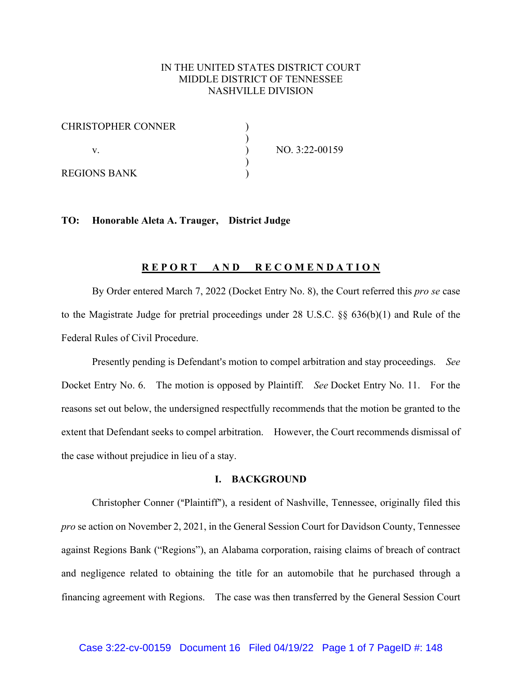# IN THE UNITED STATES DISTRICT COURT MIDDLE DISTRICT OF TENNESSEE NASHVILLE DIVISION

| <b>CHRISTOPHER CONNER</b> |                |
|---------------------------|----------------|
|                           |                |
|                           | NO. 3:22-00159 |
| REGIONS BANK              |                |

# **TO: Honorable Aleta A. Trauger, District Judge**

### **R E P O R T A N D R E C O M E N D A T I O N**

By Order entered March 7, 2022 (Docket Entry No. 8), the Court referred this *pro se* case to the Magistrate Judge for pretrial proceedings under 28 U.S.C. §§ 636(b)(1) and Rule of the Federal Rules of Civil Procedure.

Presently pending is Defendant's motion to compel arbitration and stay proceedings. *See* Docket Entry No. 6. The motion is opposed by Plaintiff. *See* Docket Entry No. 11. For the reasons set out below, the undersigned respectfully recommends that the motion be granted to the extent that Defendant seeks to compel arbitration. However, the Court recommends dismissal of the case without prejudice in lieu of a stay.

#### **I. BACKGROUND**

Christopher Conner ("Plaintiff"), a resident of Nashville, Tennessee, originally filed this *pro* se action on November 2, 2021, in the General Session Court for Davidson County, Tennessee against Regions Bank ("Regions"), an Alabama corporation, raising claims of breach of contract and negligence related to obtaining the title for an automobile that he purchased through a financing agreement with Regions. The case was then transferred by the General Session Court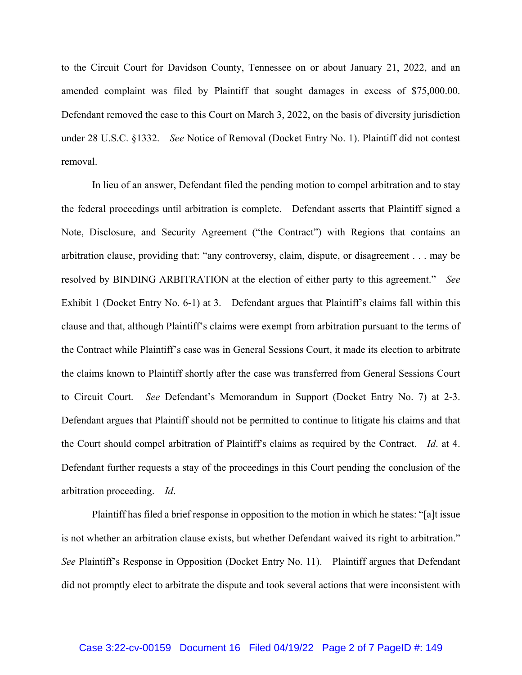to the Circuit Court for Davidson County, Tennessee on or about January 21, 2022, and an amended complaint was filed by Plaintiff that sought damages in excess of \$75,000.00. Defendant removed the case to this Court on March 3, 2022, on the basis of diversity jurisdiction under 28 U.S.C. §1332. *See* Notice of Removal (Docket Entry No. 1). Plaintiff did not contest removal.

In lieu of an answer, Defendant filed the pending motion to compel arbitration and to stay the federal proceedings until arbitration is complete. Defendant asserts that Plaintiff signed a Note, Disclosure, and Security Agreement ("the Contract") with Regions that contains an arbitration clause, providing that: "any controversy, claim, dispute, or disagreement . . . may be resolved by BINDING ARBITRATION at the election of either party to this agreement." *See* Exhibit 1 (Docket Entry No. 6-1) at 3. Defendant argues that Plaintiff's claims fall within this clause and that, although Plaintiff's claims were exempt from arbitration pursuant to the terms of the Contract while Plaintiff's case was in General Sessions Court, it made its election to arbitrate the claims known to Plaintiff shortly after the case was transferred from General Sessions Court to Circuit Court. *See* Defendant's Memorandum in Support (Docket Entry No. 7) at 2-3. Defendant argues that Plaintiff should not be permitted to continue to litigate his claims and that the Court should compel arbitration of Plaintiff's claims as required by the Contract. *Id.* at 4. Defendant further requests a stay of the proceedings in this Court pending the conclusion of the arbitration proceeding. *Id*.

Plaintiff has filed a brief response in opposition to the motion in which he states: "[a]t issue is not whether an arbitration clause exists, but whether Defendant waived its right to arbitration." *See* Plaintiff's Response in Opposition (Docket Entry No. 11). Plaintiff argues that Defendant did not promptly elect to arbitrate the dispute and took several actions that were inconsistent with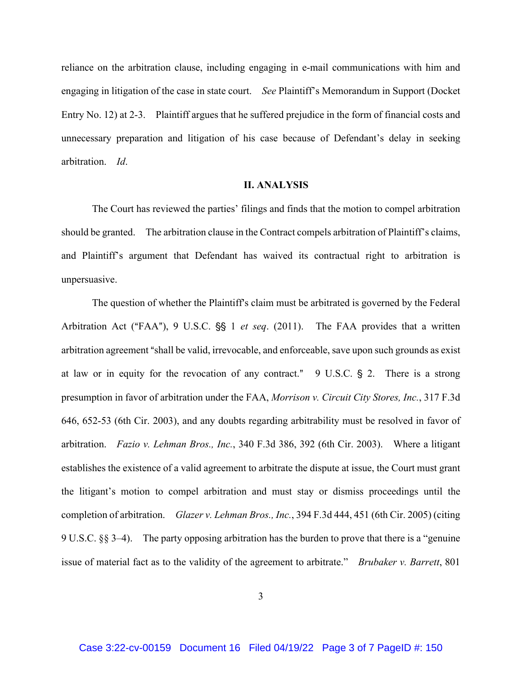reliance on the arbitration clause, including engaging in e-mail communications with him and engaging in litigation of the case in state court. *See* Plaintiff's Memorandum in Support (Docket Entry No. 12) at 2-3. Plaintiff argues that he suffered prejudice in the form of financial costs and unnecessary preparation and litigation of his case because of Defendant's delay in seeking arbitration. *Id*.

### **II. ANALYSIS**

The Court has reviewed the parties' filings and finds that the motion to compel arbitration should be granted. The arbitration clause in the Contract compels arbitration of Plaintiff's claims, and Plaintiff's argument that Defendant has waived its contractual right to arbitration is unpersuasive.

The question of whether the Plaintiff's claim must be arbitrated is governed by the Federal Arbitration Act ("FAA"), 9 U.S.C. §§ 1 *et seq.* (2011). The FAA provides that a written arbitration agreement "shall be valid, irrevocable, and enforceable, save upon such grounds as exist at law or in equity for the revocation of any contract."  $9$  U.S.C. § 2. There is a strong presumption in favor of arbitration under the FAA, *Morrison v. Circuit City Stores, Inc.*, 317 F.3d 646, 652-53 (6th Cir. 2003), and any doubts regarding arbitrability must be resolved in favor of arbitration. *Fazio v. Lehman Bros., Inc.*, 340 F.3d 386, 392 (6th Cir. 2003). Where a litigant establishes the existence of a valid agreement to arbitrate the dispute at issue, the Court must grant the litigant's motion to compel arbitration and must stay or dismiss proceedings until the completion of arbitration. *Glazer v. Lehman Bros., Inc.*, 394 F.3d 444, 451 (6th Cir. 2005) (citing 9 U.S.C. §§ 3–4). The party opposing arbitration has the burden to prove that there is a "genuine issue of material fact as to the validity of the agreement to arbitrate." *Brubaker v. Barrett*, 801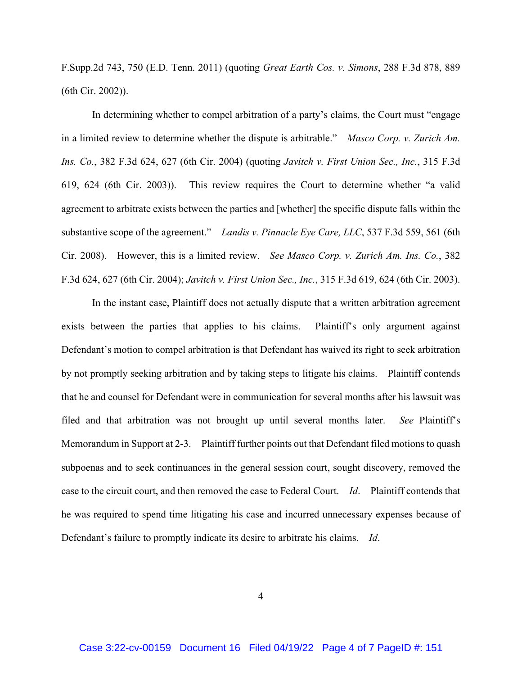F.Supp.2d 743, 750 (E.D. Tenn. 2011) (quoting *Great Earth Cos. v. Simons*, 288 F.3d 878, 889 (6th Cir. 2002)).

In determining whether to compel arbitration of a party's claims, the Court must "engage in a limited review to determine whether the dispute is arbitrable." *Masco Corp. v. Zurich Am. Ins. Co.*, 382 F.3d 624, 627 (6th Cir. 2004) (quoting *Javitch v. First Union Sec., Inc.*, 315 F.3d 619, 624 (6th Cir. 2003)). This review requires the Court to determine whether "a valid agreement to arbitrate exists between the parties and [whether] the specific dispute falls within the substantive scope of the agreement." *Landis v. Pinnacle Eye Care, LLC*, 537 F.3d 559, 561 (6th Cir. 2008). However, this is a limited review. *See Masco Corp. v. Zurich Am. Ins. Co.*, 382 F.3d 624, 627 (6th Cir. 2004); *Javitch v. First Union Sec., Inc.*, 315 F.3d 619, 624 (6th Cir. 2003).

In the instant case, Plaintiff does not actually dispute that a written arbitration agreement exists between the parties that applies to his claims. Plaintiff's only argument against Defendant's motion to compel arbitration is that Defendant has waived its right to seek arbitration by not promptly seeking arbitration and by taking steps to litigate his claims. Plaintiff contends that he and counsel for Defendant were in communication for several months after his lawsuit was filed and that arbitration was not brought up until several months later. *See* Plaintiff's Memorandum in Support at 2-3. Plaintiff further points out that Defendant filed motions to quash subpoenas and to seek continuances in the general session court, sought discovery, removed the case to the circuit court, and then removed the case to Federal Court. *Id*. Plaintiff contends that he was required to spend time litigating his case and incurred unnecessary expenses because of Defendant's failure to promptly indicate its desire to arbitrate his claims. *Id*.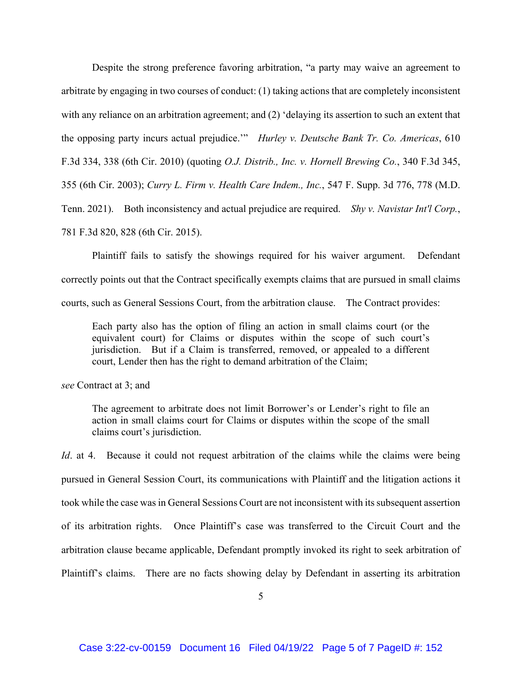Despite the strong preference favoring arbitration, "a party may waive an agreement to arbitrate by engaging in two courses of conduct: (1) taking actions that are completely inconsistent with any reliance on an arbitration agreement; and (2) 'delaying its assertion to such an extent that the opposing party incurs actual prejudice.'" *Hurley v. Deutsche Bank Tr. Co. Americas*, 610 F.3d 334, 338 (6th Cir. 2010) (quoting *O.J. Distrib., Inc. v. Hornell Brewing Co.*, 340 F.3d 345, 355 (6th Cir. 2003); *Curry L. Firm v. Health Care Indem., Inc.*, 547 F. Supp. 3d 776, 778 (M.D. Tenn. 2021). Both inconsistency and actual prejudice are required. *Shy v. Navistar Int'l Corp.*, 781 F.3d 820, 828 (6th Cir. 2015).

Plaintiff fails to satisfy the showings required for his waiver argument. Defendant correctly points out that the Contract specifically exempts claims that are pursued in small claims courts, such as General Sessions Court, from the arbitration clause. The Contract provides:

Each party also has the option of filing an action in small claims court (or the equivalent court) for Claims or disputes within the scope of such court's jurisdiction. But if a Claim is transferred, removed, or appealed to a different court, Lender then has the right to demand arbitration of the Claim;

*see* Contract at 3; and

The agreement to arbitrate does not limit Borrower's or Lender's right to file an action in small claims court for Claims or disputes within the scope of the small claims court's jurisdiction.

*Id.* at 4. Because it could not request arbitration of the claims while the claims were being pursued in General Session Court, its communications with Plaintiff and the litigation actions it took while the case was in General Sessions Court are not inconsistent with its subsequent assertion of its arbitration rights. Once Plaintiff's case was transferred to the Circuit Court and the arbitration clause became applicable, Defendant promptly invoked its right to seek arbitration of Plaintiff's claims. There are no facts showing delay by Defendant in asserting its arbitration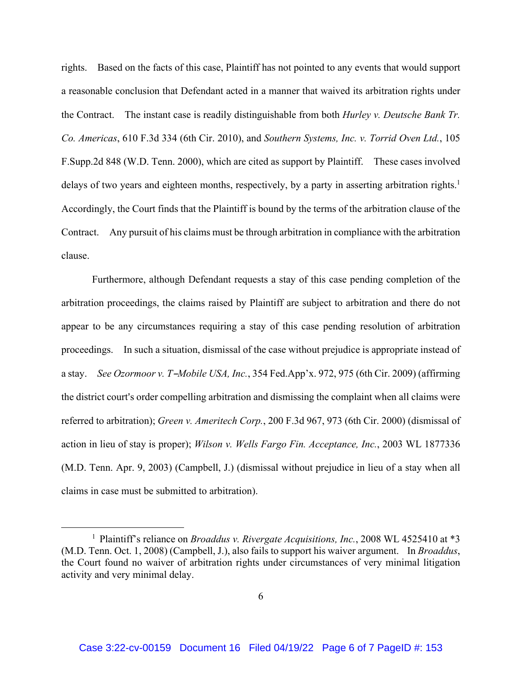rights. Based on the facts of this case, Plaintiff has not pointed to any events that would support a reasonable conclusion that Defendant acted in a manner that waived its arbitration rights under the Contract. The instant case is readily distinguishable from both *Hurley v. Deutsche Bank Tr. Co. Americas*, 610 F.3d 334 (6th Cir. 2010), and *Southern Systems, Inc. v. Torrid Oven Ltd.*, 105 F.Supp.2d 848 (W.D. Tenn. 2000), which are cited as support by Plaintiff. These cases involved delays of two years and eighteen months, respectively, by a party in asserting arbitration rights.<sup>1</sup> Accordingly, the Court finds that the Plaintiff is bound by the terms of the arbitration clause of the Contract. Any pursuit of his claims must be through arbitration in compliance with the arbitration clause.

Furthermore, although Defendant requests a stay of this case pending completion of the arbitration proceedings, the claims raised by Plaintiff are subject to arbitration and there do not appear to be any circumstances requiring a stay of this case pending resolution of arbitration proceedings. In such a situation, dismissal of the case without prejudice is appropriate instead of a stay. *See Ozormoor v. T-Mobile USA, Inc.*, 354 Fed.App'x. 972, 975 (6th Cir. 2009) (affirming the district court's order compelling arbitration and dismissing the complaint when all claims were referred to arbitration); *Green v. Ameritech Corp.*, 200 F.3d 967, 973 (6th Cir. 2000) (dismissal of action in lieu of stay is proper); *Wilson v. Wells Fargo Fin. Acceptance, Inc.*, 2003 WL 1877336 (M.D. Tenn. Apr. 9, 2003) (Campbell, J.) (dismissal without prejudice in lieu of a stay when all claims in case must be submitted to arbitration).

<sup>&</sup>lt;sup>1</sup> Plaintiff's reliance on *Broaddus v. Rivergate Acquisitions, Inc.*, 2008 WL 4525410 at \*3 (M.D. Tenn. Oct. 1, 2008) (Campbell, J.), also fails to support his waiver argument. In *Broaddus*, the Court found no waiver of arbitration rights under circumstances of very minimal litigation activity and very minimal delay.